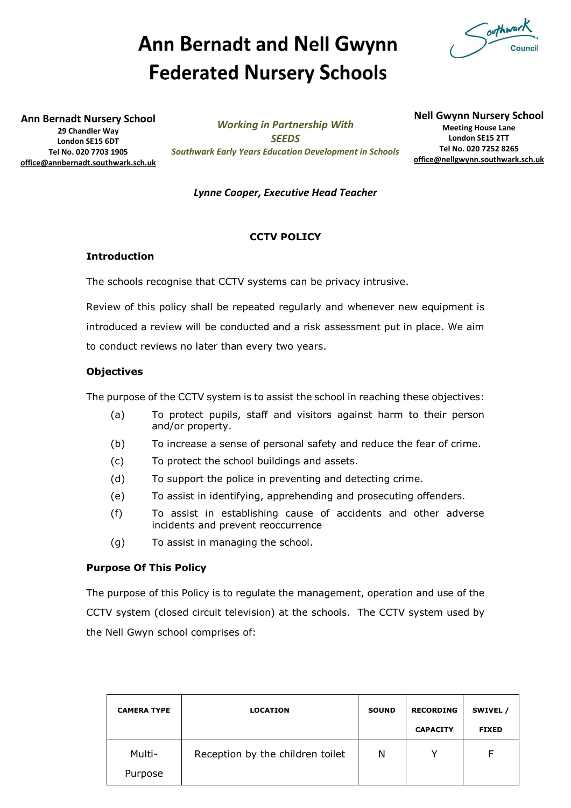# **Ann Bernadt and Nell Gwynn Federated Nursery Schools**

outhwark

**Ann Bernadt Nursery School 29 Chandler Way London SE15 6DT Tel No. 020 7703 1905 [office@annbernadt.southwark.sch.uk](mailto:office@annbernadt.southwark.sch.uk)**

*Working in Partnership With SEEDS Southwark Early Years Education Development in Schools* **Nell Gwynn Nursery School Meeting House Lane London SE15 2TT Tel No. 020 7252 8265 [office@nellgwynn.southwark.sch.uk](mailto:office@nellgwynn.southwark.sch.uk)**

# *Lynne Cooper, Executive Head Teacher*

# **CCTV POLICY**

### **Introduction**

The schools recognise that CCTV systems can be privacy intrusive.

Review of this policy shall be repeated regularly and whenever new equipment is introduced a review will be conducted and a risk assessment put in place. We aim to conduct reviews no later than every two years.

# **Objectives**

The purpose of the CCTV system is to assist the school in reaching these objectives:

- (a) To protect pupils, staff and visitors against harm to their person and/or property.
- (b) To increase a sense of personal safety and reduce the fear of crime.
- (c) To protect the school buildings and assets.
- (d) To support the police in preventing and detecting crime.
- (e) To assist in identifying, apprehending and prosecuting offenders.
- (f) To assist in establishing cause of accidents and other adverse incidents and prevent reoccurrence
- (g) To assist in managing the school.

### **Purpose Of This Policy**

The purpose of this Policy is to regulate the management, operation and use of the CCTV system (closed circuit television) at the schools. The CCTV system used by the Nell Gwyn school comprises of:

| <b>CAMERA TYPE</b> | <b>LOCATION</b>                  | <b>SOUND</b> | <b>RECORDING</b><br><b>CAPACITY</b> | SWIVEL /<br><b>FIXED</b> |
|--------------------|----------------------------------|--------------|-------------------------------------|--------------------------|
| Multi-<br>Purpose  | Reception by the children toilet | N            | v                                   |                          |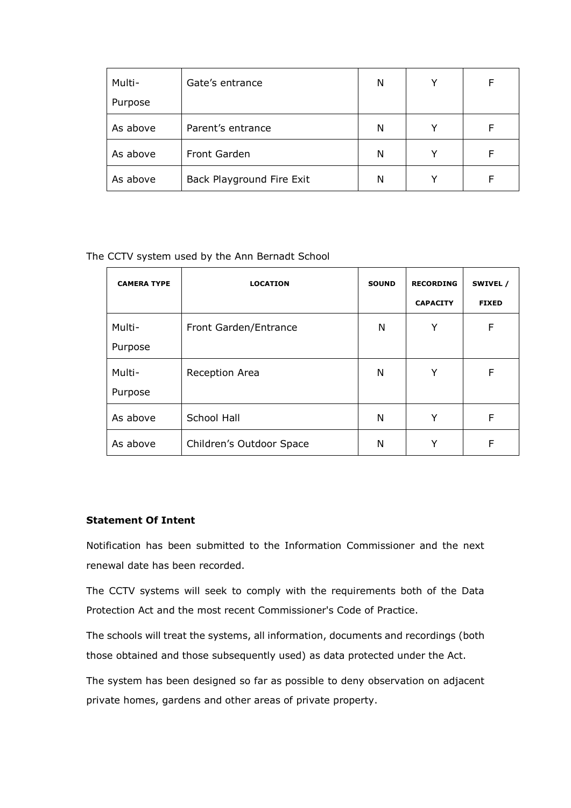| Multi-   | Gate's entrance           | N | v | F |
|----------|---------------------------|---|---|---|
| Purpose  |                           |   |   |   |
| As above | Parent's entrance         | N |   |   |
| As above | Front Garden              | N | ٧ |   |
| As above | Back Playground Fire Exit | N |   |   |

The CCTV system used by the Ann Bernadt School

| <b>CAMERA TYPE</b> | <b>LOCATION</b>          | <b>SOUND</b> | <b>RECORDING</b> | SWIVEL /     |
|--------------------|--------------------------|--------------|------------------|--------------|
|                    |                          |              | <b>CAPACITY</b>  | <b>FIXED</b> |
| Multi-             | Front Garden/Entrance    | N            | Υ                | F            |
| Purpose            |                          |              |                  |              |
| Multi-             | Reception Area           | N            | Υ                | F            |
| Purpose            |                          |              |                  |              |
| As above           | School Hall              | N            | Υ                | F            |
| As above           | Children's Outdoor Space | N            | Y                | F            |

# **Statement Of Intent**

Notification has been submitted to the Information Commissioner and the next renewal date has been recorded.

The CCTV systems will seek to comply with the requirements both of the Data Protection Act and the most recent Commissioner's Code of Practice.

The schools will treat the systems, all information, documents and recordings (both those obtained and those subsequently used) as data protected under the Act.

The system has been designed so far as possible to deny observation on adjacent private homes, gardens and other areas of private property.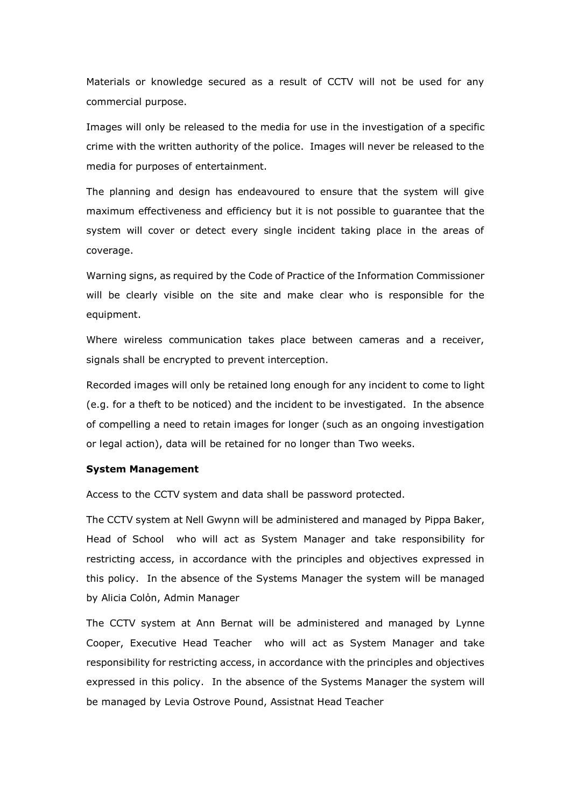Materials or knowledge secured as a result of CCTV will not be used for any commercial purpose.

Images will only be released to the media for use in the investigation of a specific crime with the written authority of the police. Images will never be released to the media for purposes of entertainment.

The planning and design has endeavoured to ensure that the system will give maximum effectiveness and efficiency but it is not possible to guarantee that the system will cover or detect every single incident taking place in the areas of coverage.

Warning signs, as required by the Code of Practice of the Information Commissioner will be clearly visible on the site and make clear who is responsible for the equipment.

Where wireless communication takes place between cameras and a receiver, signals shall be encrypted to prevent interception.

Recorded images will only be retained long enough for any incident to come to light (e.g. for a theft to be noticed) and the incident to be investigated. In the absence of compelling a need to retain images for longer (such as an ongoing investigation or legal action), data will be retained for no longer than Two weeks.

#### **System Management**

Access to the CCTV system and data shall be password protected.

The CCTV system at Nell Gwynn will be administered and managed by Pippa Baker, Head of School who will act as System Manager and take responsibility for restricting access, in accordance with the principles and objectives expressed in this policy. In the absence of the Systems Manager the system will be managed by Alicia Colόn, Admin Manager

The CCTV system at Ann Bernat will be administered and managed by Lynne Cooper, Executive Head Teacher who will act as System Manager and take responsibility for restricting access, in accordance with the principles and objectives expressed in this policy. In the absence of the Systems Manager the system will be managed by Levia Ostrove Pound, Assistnat Head Teacher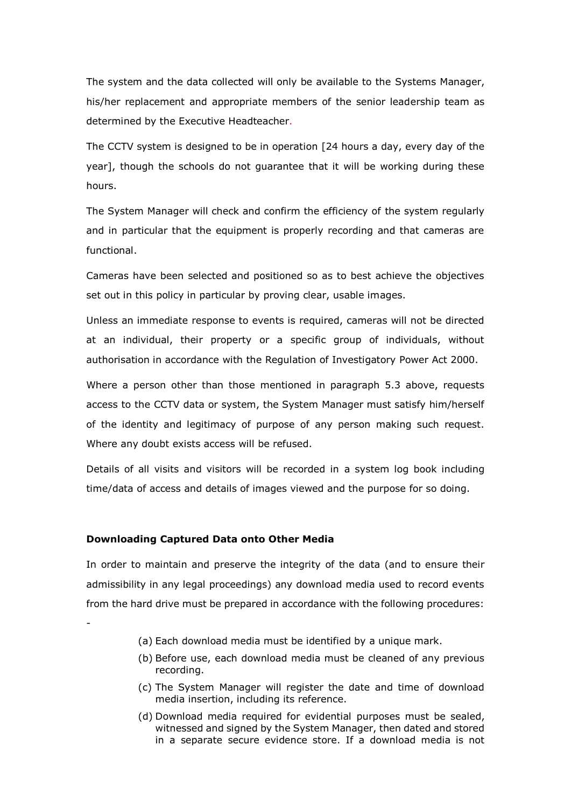The system and the data collected will only be available to the Systems Manager, his/her replacement and appropriate members of the senior leadership team as determined by the Executive Headteacher.

The CCTV system is designed to be in operation [24 hours a day, every day of the year], though the schools do not guarantee that it will be working during these hours.

The System Manager will check and confirm the efficiency of the system regularly and in particular that the equipment is properly recording and that cameras are functional.

Cameras have been selected and positioned so as to best achieve the objectives set out in this policy in particular by proving clear, usable images.

Unless an immediate response to events is required, cameras will not be directed at an individual, their property or a specific group of individuals, without authorisation in accordance with the Regulation of Investigatory Power Act 2000.

Where a person other than those mentioned in paragraph 5.3 above, requests access to the CCTV data or system, the System Manager must satisfy him/herself of the identity and legitimacy of purpose of any person making such request. Where any doubt exists access will be refused.

Details of all visits and visitors will be recorded in a system log book including time/data of access and details of images viewed and the purpose for so doing.

### **Downloading Captured Data onto Other Media**

-

In order to maintain and preserve the integrity of the data (and to ensure their admissibility in any legal proceedings) any download media used to record events from the hard drive must be prepared in accordance with the following procedures:

- (a) Each download media must be identified by a unique mark.
- (b) Before use, each download media must be cleaned of any previous recording.
- (c) The System Manager will register the date and time of download media insertion, including its reference.
- (d) Download media required for evidential purposes must be sealed, witnessed and signed by the System Manager, then dated and stored in a separate secure evidence store. If a download media is not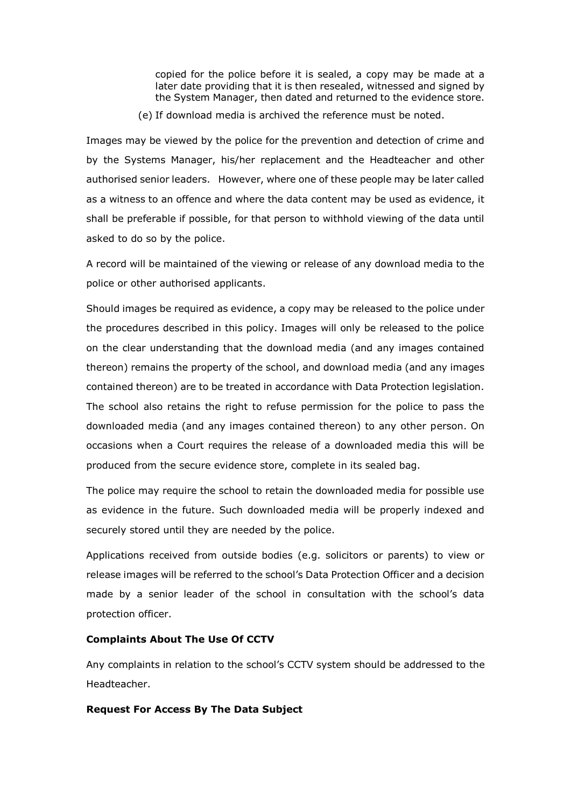copied for the police before it is sealed, a copy may be made at a later date providing that it is then resealed, witnessed and signed by the System Manager, then dated and returned to the evidence store.

(e) If download media is archived the reference must be noted.

Images may be viewed by the police for the prevention and detection of crime and by the Systems Manager, his/her replacement and the Headteacher and other authorised senior leaders. However, where one of these people may be later called as a witness to an offence and where the data content may be used as evidence, it shall be preferable if possible, for that person to withhold viewing of the data until asked to do so by the police.

A record will be maintained of the viewing or release of any download media to the police or other authorised applicants.

Should images be required as evidence, a copy may be released to the police under the procedures described in this policy. Images will only be released to the police on the clear understanding that the download media (and any images contained thereon) remains the property of the school, and download media (and any images contained thereon) are to be treated in accordance with Data Protection legislation. The school also retains the right to refuse permission for the police to pass the downloaded media (and any images contained thereon) to any other person. On occasions when a Court requires the release of a downloaded media this will be produced from the secure evidence store, complete in its sealed bag.

The police may require the school to retain the downloaded media for possible use as evidence in the future. Such downloaded media will be properly indexed and securely stored until they are needed by the police.

Applications received from outside bodies (e.g. solicitors or parents) to view or release images will be referred to the school's Data Protection Officer and a decision made by a senior leader of the school in consultation with the school's data protection officer.

# **Complaints About The Use Of CCTV**

Any complaints in relation to the school's CCTV system should be addressed to the Headteacher.

## **Request For Access By The Data Subject**